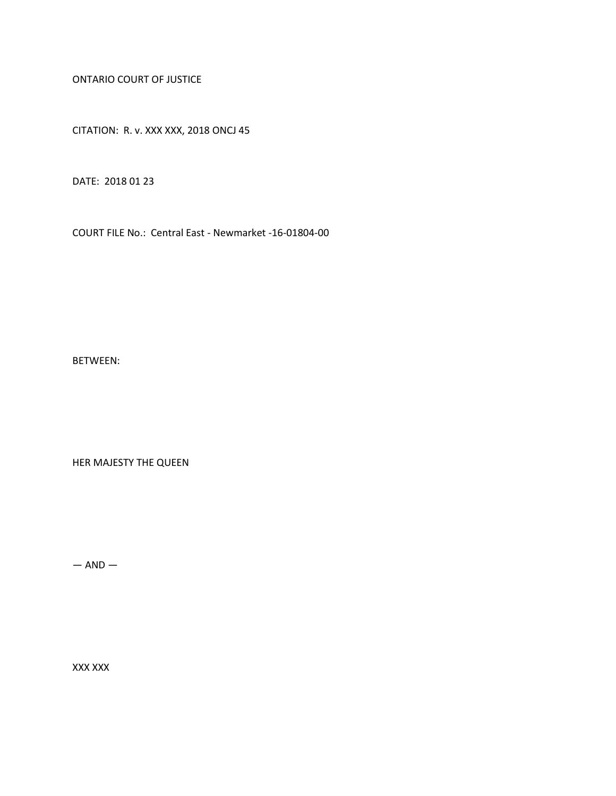ONTARIO COURT OF JUSTICE

CITATION: R. v. XXX XXX, 2018 ONCJ 45

DATE: 2018 01 23

COURT FILE No.: Central East - Newmarket -16-01804-00

BETWEEN:

HER MAJESTY THE QUEEN

 $-$  AND  $-$ 

XXX XXX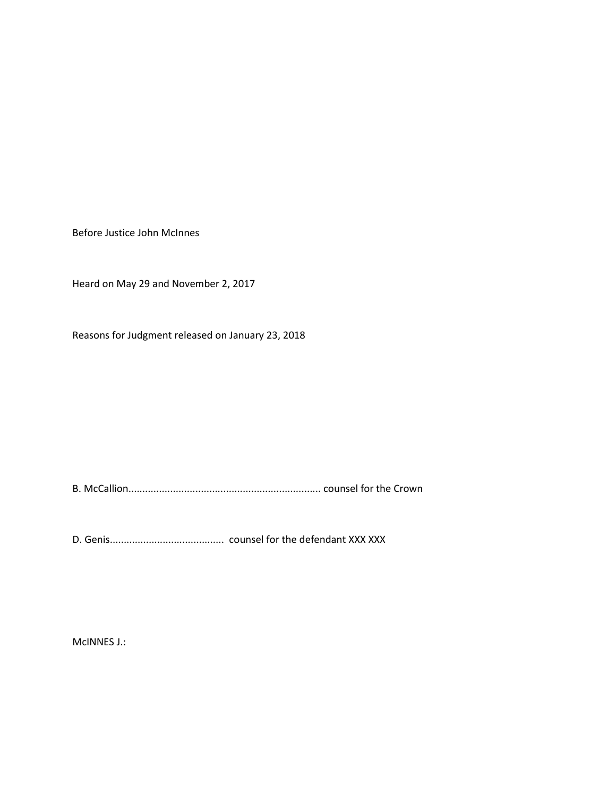Before Justice John McInnes

Heard on May 29 and November 2, 2017

Reasons for Judgment released on January 23, 2018

B. McCallion..................................................................... counsel for the Crown

D. Genis......................................... counsel for the defendant XXX XXX

McINNES J.: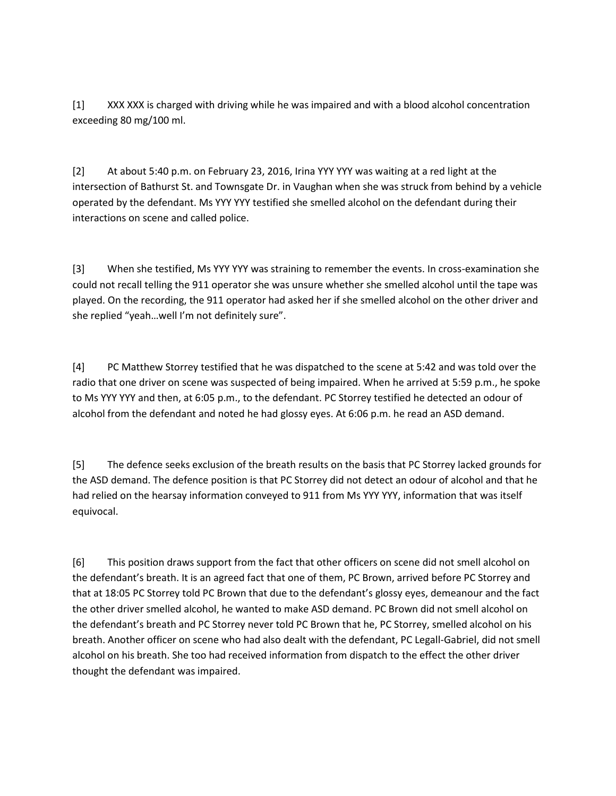[1] XXX XXX is charged with driving while he was impaired and with a blood alcohol concentration exceeding 80 mg/100 ml.

[2] At about 5:40 p.m. on February 23, 2016, Irina YYY YYY was waiting at a red light at the intersection of Bathurst St. and Townsgate Dr. in Vaughan when she was struck from behind by a vehicle operated by the defendant. Ms YYY YYY testified she smelled alcohol on the defendant during their interactions on scene and called police.

[3] When she testified, Ms YYY YYY was straining to remember the events. In cross-examination she could not recall telling the 911 operator she was unsure whether she smelled alcohol until the tape was played. On the recording, the 911 operator had asked her if she smelled alcohol on the other driver and she replied "yeah…well I'm not definitely sure".

[4] PC Matthew Storrey testified that he was dispatched to the scene at 5:42 and was told over the radio that one driver on scene was suspected of being impaired. When he arrived at 5:59 p.m., he spoke to Ms YYY YYY and then, at 6:05 p.m., to the defendant. PC Storrey testified he detected an odour of alcohol from the defendant and noted he had glossy eyes. At 6:06 p.m. he read an ASD demand.

[5] The defence seeks exclusion of the breath results on the basis that PC Storrey lacked grounds for the ASD demand. The defence position is that PC Storrey did not detect an odour of alcohol and that he had relied on the hearsay information conveyed to 911 from Ms YYY YYY, information that was itself equivocal.

[6] This position draws support from the fact that other officers on scene did not smell alcohol on the defendant's breath. It is an agreed fact that one of them, PC Brown, arrived before PC Storrey and that at 18:05 PC Storrey told PC Brown that due to the defendant's glossy eyes, demeanour and the fact the other driver smelled alcohol, he wanted to make ASD demand. PC Brown did not smell alcohol on the defendant's breath and PC Storrey never told PC Brown that he, PC Storrey, smelled alcohol on his breath. Another officer on scene who had also dealt with the defendant, PC Legall-Gabriel, did not smell alcohol on his breath. She too had received information from dispatch to the effect the other driver thought the defendant was impaired.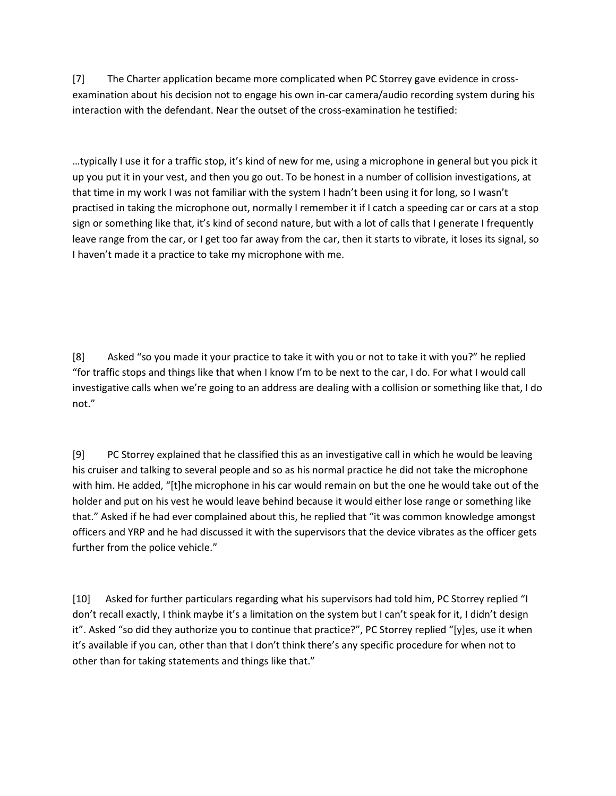[7] The Charter application became more complicated when PC Storrey gave evidence in crossexamination about his decision not to engage his own in-car camera/audio recording system during his interaction with the defendant. Near the outset of the cross-examination he testified:

…typically I use it for a traffic stop, it's kind of new for me, using a microphone in general but you pick it up you put it in your vest, and then you go out. To be honest in a number of collision investigations, at that time in my work I was not familiar with the system I hadn't been using it for long, so I wasn't practised in taking the microphone out, normally I remember it if I catch a speeding car or cars at a stop sign or something like that, it's kind of second nature, but with a lot of calls that I generate I frequently leave range from the car, or I get too far away from the car, then it starts to vibrate, it loses its signal, so I haven't made it a practice to take my microphone with me.

[8] Asked "so you made it your practice to take it with you or not to take it with you?" he replied "for traffic stops and things like that when I know I'm to be next to the car, I do. For what I would call investigative calls when we're going to an address are dealing with a collision or something like that, I do not."

[9] PC Storrey explained that he classified this as an investigative call in which he would be leaving his cruiser and talking to several people and so as his normal practice he did not take the microphone with him. He added, "[t]he microphone in his car would remain on but the one he would take out of the holder and put on his vest he would leave behind because it would either lose range or something like that." Asked if he had ever complained about this, he replied that "it was common knowledge amongst officers and YRP and he had discussed it with the supervisors that the device vibrates as the officer gets further from the police vehicle."

[10] Asked for further particulars regarding what his supervisors had told him, PC Storrey replied "I don't recall exactly, I think maybe it's a limitation on the system but I can't speak for it, I didn't design it". Asked "so did they authorize you to continue that practice?", PC Storrey replied "[y]es, use it when it's available if you can, other than that I don't think there's any specific procedure for when not to other than for taking statements and things like that."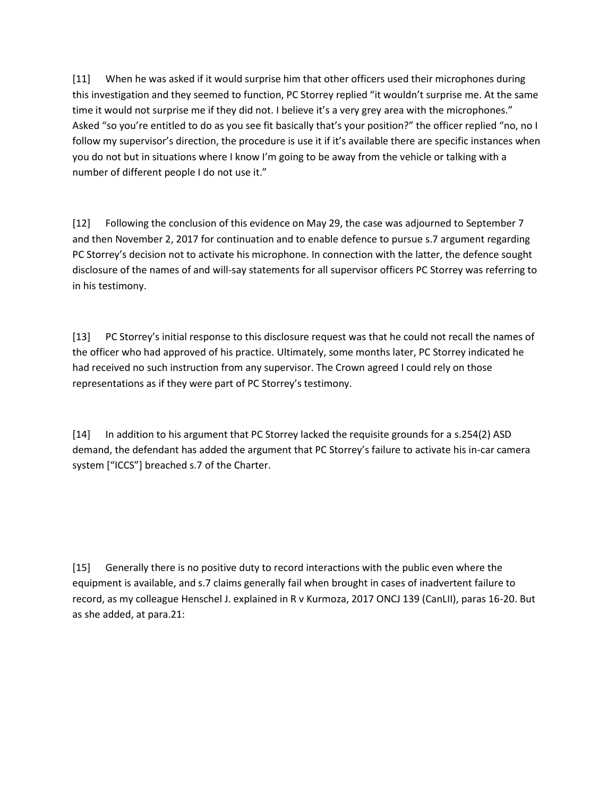[11] When he was asked if it would surprise him that other officers used their microphones during this investigation and they seemed to function, PC Storrey replied "it wouldn't surprise me. At the same time it would not surprise me if they did not. I believe it's a very grey area with the microphones." Asked "so you're entitled to do as you see fit basically that's your position?" the officer replied "no, no I follow my supervisor's direction, the procedure is use it if it's available there are specific instances when you do not but in situations where I know I'm going to be away from the vehicle or talking with a number of different people I do not use it."

[12] Following the conclusion of this evidence on May 29, the case was adjourned to September 7 and then November 2, 2017 for continuation and to enable defence to pursue s.7 argument regarding PC Storrey's decision not to activate his microphone. In connection with the latter, the defence sought disclosure of the names of and will-say statements for all supervisor officers PC Storrey was referring to in his testimony.

[13] PC Storrey's initial response to this disclosure request was that he could not recall the names of the officer who had approved of his practice. Ultimately, some months later, PC Storrey indicated he had received no such instruction from any supervisor. The Crown agreed I could rely on those representations as if they were part of PC Storrey's testimony.

[14] In addition to his argument that PC Storrey lacked the requisite grounds for a s.254(2) ASD demand, the defendant has added the argument that PC Storrey's failure to activate his in-car camera system ["ICCS"] breached s.7 of the Charter.

[15] Generally there is no positive duty to record interactions with the public even where the equipment is available, and s.7 claims generally fail when brought in cases of inadvertent failure to record, as my colleague Henschel J. explained in R v Kurmoza, 2017 ONCJ 139 (CanLII), paras 16-20. But as she added, at para.21: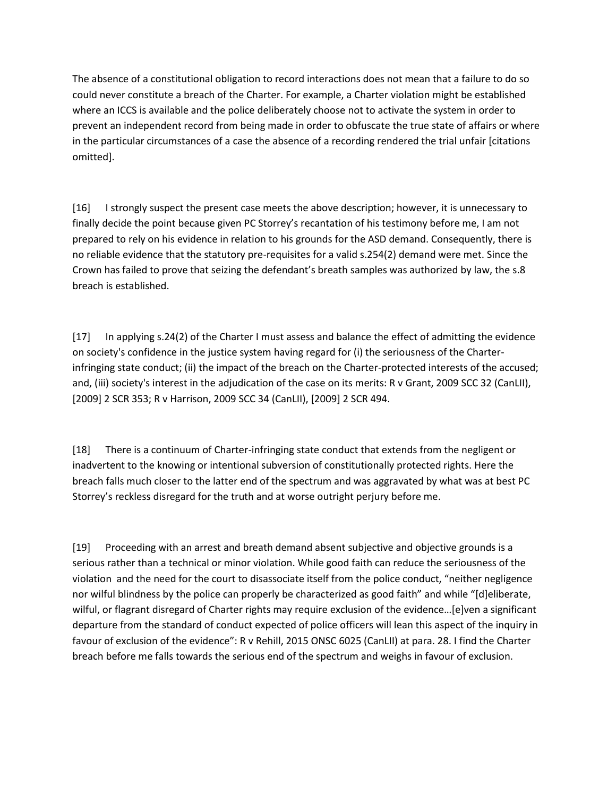The absence of a constitutional obligation to record interactions does not mean that a failure to do so could never constitute a breach of the Charter. For example, a Charter violation might be established where an ICCS is available and the police deliberately choose not to activate the system in order to prevent an independent record from being made in order to obfuscate the true state of affairs or where in the particular circumstances of a case the absence of a recording rendered the trial unfair [citations omitted].

[16] I strongly suspect the present case meets the above description; however, it is unnecessary to finally decide the point because given PC Storrey's recantation of his testimony before me, I am not prepared to rely on his evidence in relation to his grounds for the ASD demand. Consequently, there is no reliable evidence that the statutory pre-requisites for a valid s.254(2) demand were met. Since the Crown has failed to prove that seizing the defendant's breath samples was authorized by law, the s.8 breach is established.

[17] In applying s.24(2) of the Charter I must assess and balance the effect of admitting the evidence on society's confidence in the justice system having regard for (i) the seriousness of the Charterinfringing state conduct; (ii) the impact of the breach on the Charter-protected interests of the accused; and, (iii) society's interest in the adjudication of the case on its merits: R v Grant, 2009 SCC 32 (CanLII), [2009] 2 SCR 353; R v Harrison, 2009 SCC 34 (CanLII), [2009] 2 SCR 494.

[18] There is a continuum of Charter-infringing state conduct that extends from the negligent or inadvertent to the knowing or intentional subversion of constitutionally protected rights. Here the breach falls much closer to the latter end of the spectrum and was aggravated by what was at best PC Storrey's reckless disregard for the truth and at worse outright perjury before me.

[19] Proceeding with an arrest and breath demand absent subjective and objective grounds is a serious rather than a technical or minor violation. While good faith can reduce the seriousness of the violation and the need for the court to disassociate itself from the police conduct, "neither negligence nor wilful blindness by the police can properly be characterized as good faith" and while "[d]eliberate, wilful, or flagrant disregard of Charter rights may require exclusion of the evidence...[e]ven a significant departure from the standard of conduct expected of police officers will lean this aspect of the inquiry in favour of exclusion of the evidence": R v Rehill, 2015 ONSC 6025 (CanLII) at para. 28. I find the Charter breach before me falls towards the serious end of the spectrum and weighs in favour of exclusion.